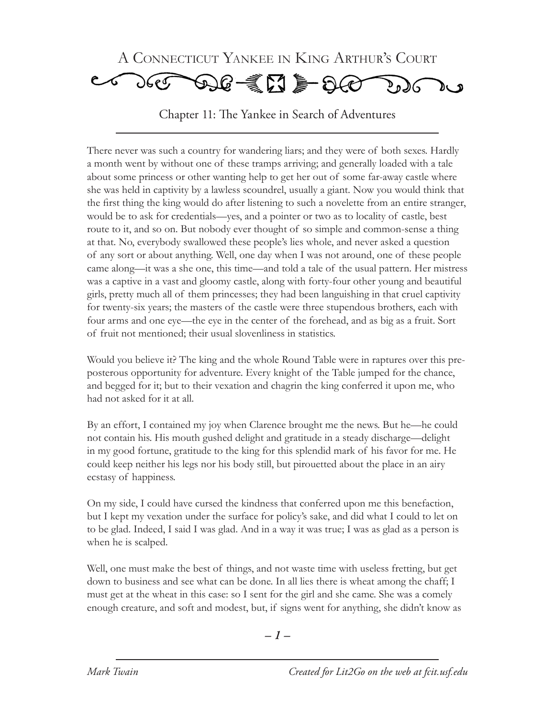

Chapter 11: The Yankee in Search of Adventures

There never was such a country for wandering liars; and they were of both sexes. Hardly a month went by without one of these tramps arriving; and generally loaded with a tale about some princess or other wanting help to get her out of some far-away castle where she was held in captivity by a lawless scoundrel, usually a giant. Now you would think that the first thing the king would do after listening to such a novelette from an entire stranger, would be to ask for credentials—yes, and a pointer or two as to locality of castle, best route to it, and so on. But nobody ever thought of so simple and common-sense a thing at that. No, everybody swallowed these people's lies whole, and never asked a question of any sort or about anything. Well, one day when I was not around, one of these people came along—it was a she one, this time—and told a tale of the usual pattern. Her mistress was a captive in a vast and gloomy castle, along with forty-four other young and beautiful girls, pretty much all of them princesses; they had been languishing in that cruel captivity for twenty-six years; the masters of the castle were three stupendous brothers, each with four arms and one eye—the eye in the center of the forehead, and as big as a fruit. Sort of fruit not mentioned; their usual slovenliness in statistics.

Would you believe it? The king and the whole Round Table were in raptures over this preposterous opportunity for adventure. Every knight of the Table jumped for the chance, and begged for it; but to their vexation and chagrin the king conferred it upon me, who had not asked for it at all.

By an effort, I contained my joy when Clarence brought me the news. But he—he could not contain his. His mouth gushed delight and gratitude in a steady discharge—delight in my good fortune, gratitude to the king for this splendid mark of his favor for me. He could keep neither his legs nor his body still, but pirouetted about the place in an airy ecstasy of happiness.

On my side, I could have cursed the kindness that conferred upon me this benefaction, but I kept my vexation under the surface for policy's sake, and did what I could to let on to be glad. Indeed, I said I was glad. And in a way it was true; I was as glad as a person is when he is scalped.

Well, one must make the best of things, and not waste time with useless fretting, but get down to business and see what can be done. In all lies there is wheat among the chaff; I must get at the wheat in this case: so I sent for the girl and she came. She was a comely enough creature, and soft and modest, but, if signs went for anything, she didn't know as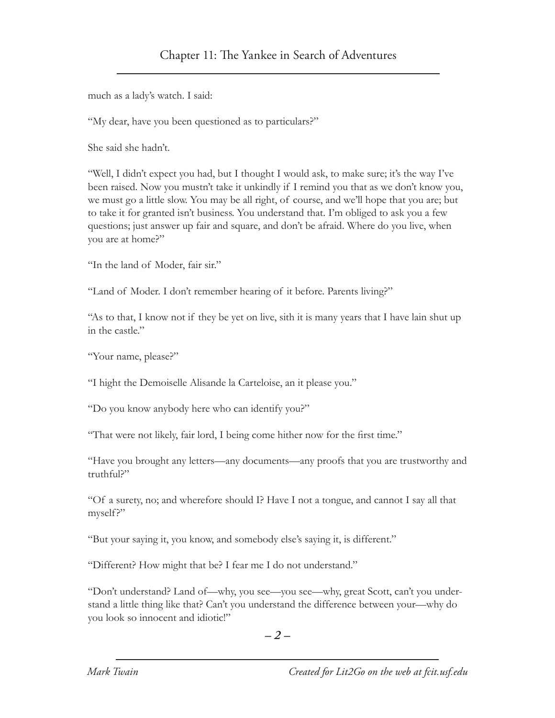much as a lady's watch. I said:

"My dear, have you been questioned as to particulars?"

She said she hadn't.

"Well, I didn't expect you had, but I thought I would ask, to make sure; it's the way I've been raised. Now you mustn't take it unkindly if I remind you that as we don't know you, we must go a little slow. You may be all right, of course, and we'll hope that you are; but to take it for granted isn't business. You understand that. I'm obliged to ask you a few questions; just answer up fair and square, and don't be afraid. Where do you live, when you are at home?"

"In the land of Moder, fair sir."

"Land of Moder. I don't remember hearing of it before. Parents living?"

"As to that, I know not if they be yet on live, sith it is many years that I have lain shut up in the castle."

"Your name, please?"

"I hight the Demoiselle Alisande la Carteloise, an it please you."

"Do you know anybody here who can identify you?"

"That were not likely, fair lord, I being come hither now for the first time."

"Have you brought any letters—any documents—any proofs that you are trustworthy and truthful?"

"Of a surety, no; and wherefore should I? Have I not a tongue, and cannot I say all that myself?"

"But your saying it, you know, and somebody else's saying it, is different."

"Different? How might that be? I fear me I do not understand."

"Don't understand? Land of—why, you see—you see—why, great Scott, can't you understand a little thing like that? Can't you understand the difference between your—why do you look so innocent and idiotic!"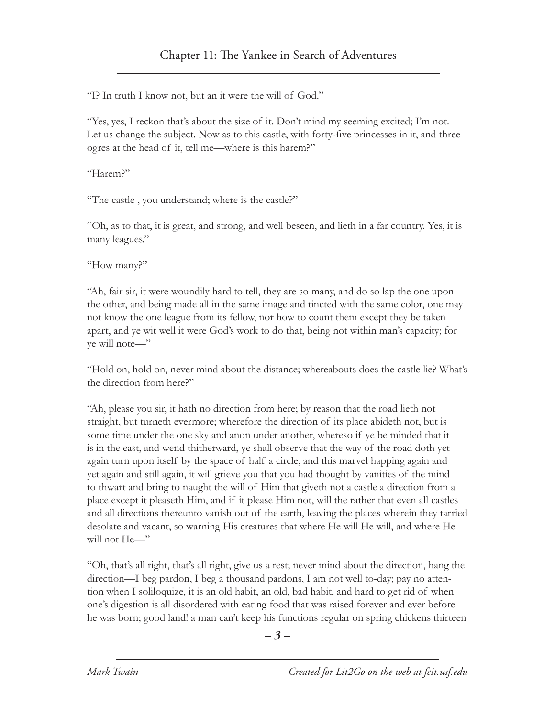"I? In truth I know not, but an it were the will of God."

"Yes, yes, I reckon that's about the size of it. Don't mind my seeming excited; I'm not. Let us change the subject. Now as to this castle, with forty-five princesses in it, and three ogres at the head of it, tell me—where is this harem?"

"Harem?"

"The castle , you understand; where is the castle?"

"Oh, as to that, it is great, and strong, and well beseen, and lieth in a far country. Yes, it is many leagues."

"How many?"

"Ah, fair sir, it were woundily hard to tell, they are so many, and do so lap the one upon the other, and being made all in the same image and tincted with the same color, one may not know the one league from its fellow, nor how to count them except they be taken apart, and ye wit well it were God's work to do that, being not within man's capacity; for ye will note—"

"Hold on, hold on, never mind about the distance; whereabouts does the castle lie? What's the direction from here?"

"Ah, please you sir, it hath no direction from here; by reason that the road lieth not straight, but turneth evermore; wherefore the direction of its place abideth not, but is some time under the one sky and anon under another, whereso if ye be minded that it is in the east, and wend thitherward, ye shall observe that the way of the road doth yet again turn upon itself by the space of half a circle, and this marvel happing again and yet again and still again, it will grieve you that you had thought by vanities of the mind to thwart and bring to naught the will of Him that giveth not a castle a direction from a place except it pleaseth Him, and if it please Him not, will the rather that even all castles and all directions thereunto vanish out of the earth, leaving the places wherein they tarried desolate and vacant, so warning His creatures that where He will He will, and where He will not He—"

"Oh, that's all right, that's all right, give us a rest; never mind about the direction, hang the direction—I beg pardon, I beg a thousand pardons, I am not well to-day; pay no attention when I soliloquize, it is an old habit, an old, bad habit, and hard to get rid of when one's digestion is all disordered with eating food that was raised forever and ever before he was born; good land! a man can't keep his functions regular on spring chickens thirteen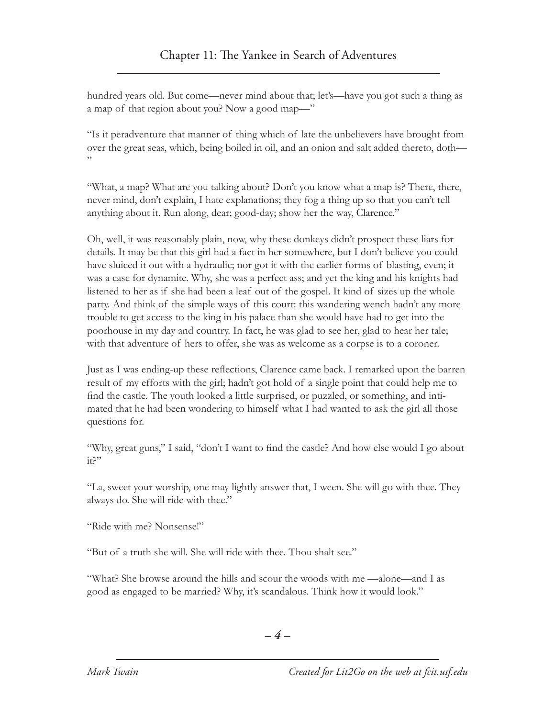hundred years old. But come—never mind about that; let's—have you got such a thing as a map of that region about you? Now a good map—"

"Is it peradventure that manner of thing which of late the unbelievers have brought from over the great seas, which, being boiled in oil, and an onion and salt added thereto, doth— "

"What, a map? What are you talking about? Don't you know what a map is? There, there, never mind, don't explain, I hate explanations; they fog a thing up so that you can't tell anything about it. Run along, dear; good-day; show her the way, Clarence."

Oh, well, it was reasonably plain, now, why these donkeys didn't prospect these liars for details. It may be that this girl had a fact in her somewhere, but I don't believe you could have sluiced it out with a hydraulic; nor got it with the earlier forms of blasting, even; it was a case for dynamite. Why, she was a perfect ass; and yet the king and his knights had listened to her as if she had been a leaf out of the gospel. It kind of sizes up the whole party. And think of the simple ways of this court: this wandering wench hadn't any more trouble to get access to the king in his palace than she would have had to get into the poorhouse in my day and country. In fact, he was glad to see her, glad to hear her tale; with that adventure of hers to offer, she was as welcome as a corpse is to a coroner.

Just as I was ending-up these reflections, Clarence came back. I remarked upon the barren result of my efforts with the girl; hadn't got hold of a single point that could help me to find the castle. The youth looked a little surprised, or puzzled, or something, and intimated that he had been wondering to himself what I had wanted to ask the girl all those questions for.

"Why, great guns," I said, "don't I want to find the castle? And how else would I go about it?"

"La, sweet your worship, one may lightly answer that, I ween. She will go with thee. They always do. She will ride with thee."

"Ride with me? Nonsense!"

"But of a truth she will. She will ride with thee. Thou shalt see."

"What? She browse around the hills and scour the woods with me —alone—and I as good as engaged to be married? Why, it's scandalous. Think how it would look."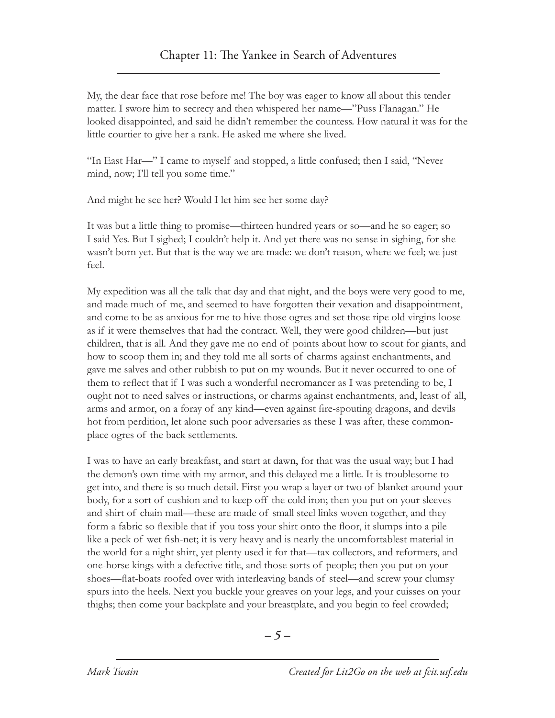My, the dear face that rose before me! The boy was eager to know all about this tender matter. I swore him to secrecy and then whispered her name—"Puss Flanagan." He looked disappointed, and said he didn't remember the countess. How natural it was for the little courtier to give her a rank. He asked me where she lived.

"In East Har—" I came to myself and stopped, a little confused; then I said, "Never mind, now; I'll tell you some time."

And might he see her? Would I let him see her some day?

It was but a little thing to promise—thirteen hundred years or so—and he so eager; so I said Yes. But I sighed; I couldn't help it. And yet there was no sense in sighing, for she wasn't born yet. But that is the way we are made: we don't reason, where we feel; we just feel.

My expedition was all the talk that day and that night, and the boys were very good to me, and made much of me, and seemed to have forgotten their vexation and disappointment, and come to be as anxious for me to hive those ogres and set those ripe old virgins loose as if it were themselves that had the contract. Well, they were good children—but just children, that is all. And they gave me no end of points about how to scout for giants, and how to scoop them in; and they told me all sorts of charms against enchantments, and gave me salves and other rubbish to put on my wounds. But it never occurred to one of them to reflect that if I was such a wonderful necromancer as I was pretending to be, I ought not to need salves or instructions, or charms against enchantments, and, least of all, arms and armor, on a foray of any kind—even against fire-spouting dragons, and devils hot from perdition, let alone such poor adversaries as these I was after, these commonplace ogres of the back settlements.

I was to have an early breakfast, and start at dawn, for that was the usual way; but I had the demon's own time with my armor, and this delayed me a little. It is troublesome to get into, and there is so much detail. First you wrap a layer or two of blanket around your body, for a sort of cushion and to keep off the cold iron; then you put on your sleeves and shirt of chain mail—these are made of small steel links woven together, and they form a fabric so flexible that if you toss your shirt onto the floor, it slumps into a pile like a peck of wet fish-net; it is very heavy and is nearly the uncomfortablest material in the world for a night shirt, yet plenty used it for that—tax collectors, and reformers, and one-horse kings with a defective title, and those sorts of people; then you put on your shoes—flat-boats roofed over with interleaving bands of steel—and screw your clumsy spurs into the heels. Next you buckle your greaves on your legs, and your cuisses on your thighs; then come your backplate and your breastplate, and you begin to feel crowded;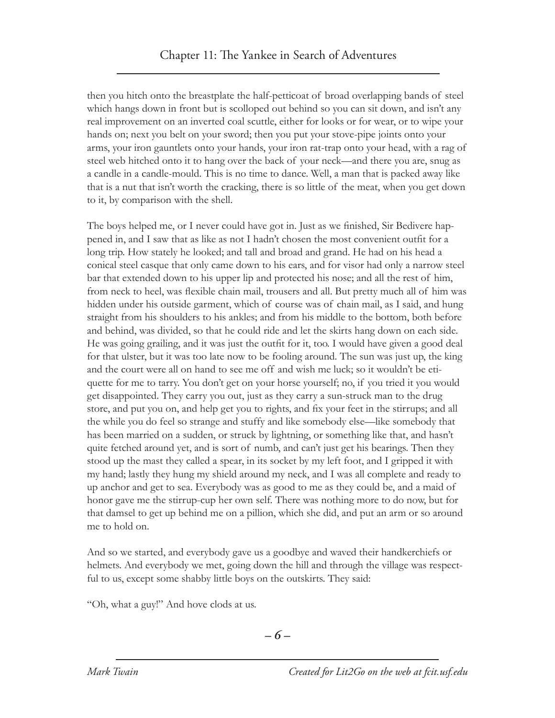then you hitch onto the breastplate the half-petticoat of broad overlapping bands of steel which hangs down in front but is scolloped out behind so you can sit down, and isn't any real improvement on an inverted coal scuttle, either for looks or for wear, or to wipe your hands on; next you belt on your sword; then you put your stove-pipe joints onto your arms, your iron gauntlets onto your hands, your iron rat-trap onto your head, with a rag of steel web hitched onto it to hang over the back of your neck—and there you are, snug as a candle in a candle-mould. This is no time to dance. Well, a man that is packed away like that is a nut that isn't worth the cracking, there is so little of the meat, when you get down to it, by comparison with the shell.

The boys helped me, or I never could have got in. Just as we finished, Sir Bedivere happened in, and I saw that as like as not I hadn't chosen the most convenient outfit for a long trip. How stately he looked; and tall and broad and grand. He had on his head a conical steel casque that only came down to his ears, and for visor had only a narrow steel bar that extended down to his upper lip and protected his nose; and all the rest of him, from neck to heel, was flexible chain mail, trousers and all. But pretty much all of him was hidden under his outside garment, which of course was of chain mail, as I said, and hung straight from his shoulders to his ankles; and from his middle to the bottom, both before and behind, was divided, so that he could ride and let the skirts hang down on each side. He was going grailing, and it was just the outfit for it, too. I would have given a good deal for that ulster, but it was too late now to be fooling around. The sun was just up, the king and the court were all on hand to see me off and wish me luck; so it wouldn't be etiquette for me to tarry. You don't get on your horse yourself; no, if you tried it you would get disappointed. They carry you out, just as they carry a sun-struck man to the drug store, and put you on, and help get you to rights, and fix your feet in the stirrups; and all the while you do feel so strange and stuffy and like somebody else—like somebody that has been married on a sudden, or struck by lightning, or something like that, and hasn't quite fetched around yet, and is sort of numb, and can't just get his bearings. Then they stood up the mast they called a spear, in its socket by my left foot, and I gripped it with my hand; lastly they hung my shield around my neck, and I was all complete and ready to up anchor and get to sea. Everybody was as good to me as they could be, and a maid of honor gave me the stirrup-cup her own self. There was nothing more to do now, but for that damsel to get up behind me on a pillion, which she did, and put an arm or so around me to hold on.

And so we started, and everybody gave us a goodbye and waved their handkerchiefs or helmets. And everybody we met, going down the hill and through the village was respectful to us, except some shabby little boys on the outskirts. They said:

"Oh, what a guy!" And hove clods at us.